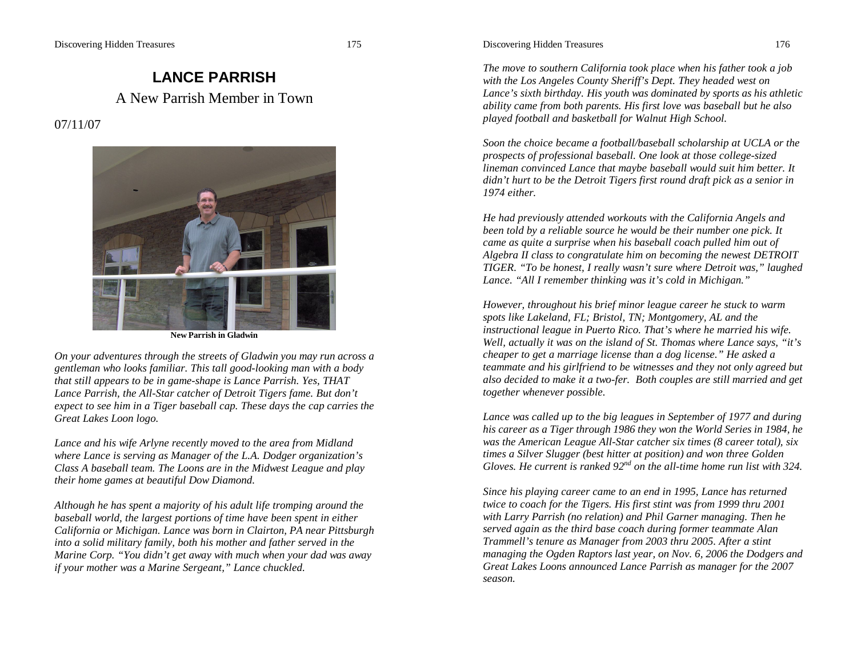# **LANCE PARRISH** A New Parrish Member in Town

07/11/07



**New Parrish in Gladwin**

*On your adventures through the streets of Gladwin you may run across a gentleman who looks familiar. This tall good-looking man with a body that still appears to be in game-shape is Lance Parrish. Yes, THAT Lance Parrish, the All-Star catcher of Detroit Tigers fame. But don't expect to see him in a Tiger baseball cap. These days the cap carries the Great Lakes Loon logo.*

*Lance and his wife Arlyne recently moved to the area from Midland where Lance is serving as Manager of the L.A. Dodger organization's Class A baseball team. The Loons are in the Midwest League and play their home games at beautiful Dow Diamond.*

*Although he has spent a majority of his adult life tromping around the baseball world, the largest portions of time have been spent in either California or Michigan. Lance was born in Clairton, PA near Pittsburgh into a solid military family, both his mother and father served in the Marine Corp. "You didn't get away with much when your dad was away if your mother was a Marine Sergeant," Lance chuckled.*

Discovering Hidden Treasures 176

*The move to southern California took place when his father took a job with the Los Angeles County Sheriff's Dept. They headed west on Lance's sixth birthday. His youth was dominated by sports as his athletic ability came from both parents. His first love was baseball but he also played football and basketball for Walnut High School.*

*Soon the choice became a football/baseball scholarship at UCLA or the prospects of professional baseball. One look at those college-sized lineman convinced Lance that maybe baseball would suit him better. It didn't hurt to be the Detroit Tigers first round draft pick as a senior in 1974 either.*

*He had previously attended workouts with the California Angels and been told by a reliable source he would be their number one pick. It came as quite a surprise when his baseball coach pulled him out of Algebra II class to congratulate him on becoming the newest DETROIT TIGER. "To be honest, I really wasn't sure where Detroit was," laughed Lance. "All I remember thinking was it's cold in Michigan."*

*However, throughout his brief minor league career he stuck to warm spots like Lakeland, FL; Bristol, TN; Montgomery, AL and the instructional league in Puerto Rico. That's where he married his wife. Well, actually it was on the island of St. Thomas where Lance says, "it's cheaper to get a marriage license than a dog license." He asked a teammate and his girlfriend to be witnesses and they not only agreed but also decided to make it a two-fer. Both couples are still married and get together whenever possible.*

*Lance was called up to the big leagues in September of 1977 and during his career as a Tiger through 1986 they won the World Series in 1984, he was the American League All-Star catcher six times (8 career total), six times a Silver Slugger (best hitter at position) and won three Golden Gloves. He current is ranked 92nd on the all-time home run list with 324.*

*Since his playing career came to an end in 1995, Lance has returned twice to coach for the Tigers. His first stint was from 1999 thru 2001 with Larry Parrish (no relation) and Phil Garner managing. Then he served again as the third base coach during former teammate Alan Trammell's tenure as Manager from 2003 thru 2005. After a stint managing the Ogden Raptors last year, on Nov. 6, 2006 the Dodgers and Great Lakes Loons announced Lance Parrish as manager for the 2007 season.*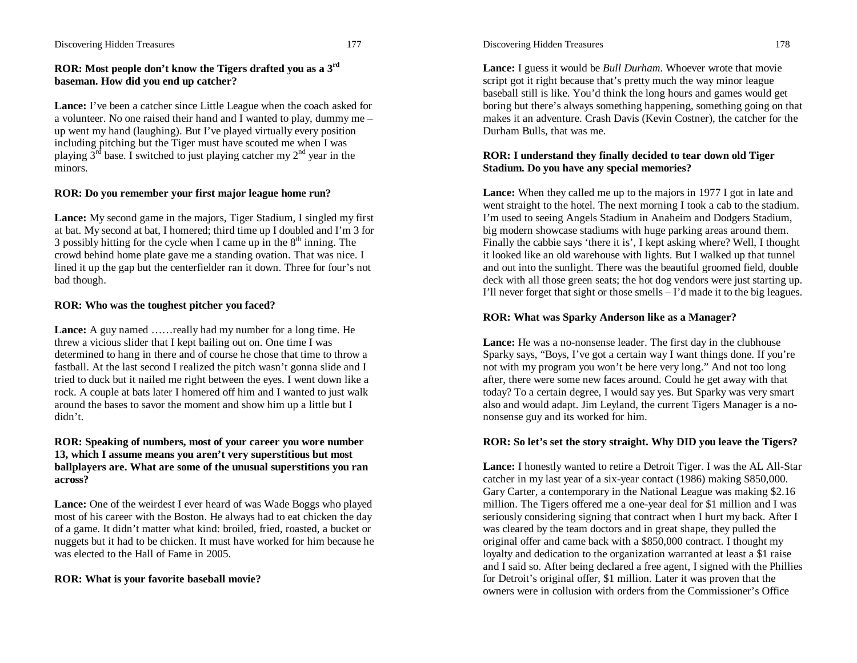#### Discovering Hidden Treasures 177

### **ROR: Most people don't know the Tigers drafted you as a 3rd baseman. How did you end up catcher?**

**Lance:** I've been a catcher since Little League when the coach asked for a volunteer. No one raised their hand and I wanted to play, dummy me – up went my hand (laughing). But I've played virtually every position including pitching but the Tiger must have scouted me when I was playing  $3<sup>rd</sup>$  base. I switched to just playing catcher my  $2<sup>nd</sup>$  year in the minors.

### **ROR: Do you remember your first major league home run?**

**Lance:** My second game in the majors, Tiger Stadium, I singled my first at bat. My second at bat, I homered; third time up I doubled and I'm 3 for 3 possibly hitting for the cycle when I came up in the  $8<sup>th</sup>$  inning. The crowd behind home plate gave me a standing ovation. That was nice. I lined it up the gap but the centerfielder ran it down. Three for four's not bad though.

### **ROR: Who was the toughest pitcher you faced?**

**Lance:** A guy named ......really had my number for a long time. He threw a vicious slider that I kept bailing out on. One time I was determined to hang in there and of course he chose that time to throw a fastball. At the last second I realized the pitch wasn't gonna slide and I tried to duck but it nailed me right between the eyes. I went down like a rock. A couple at bats later I homered off him and I wanted to just walk around the bases to savor the moment and show him up a little but I didn't.

### **ROR: Speaking of numbers, most of your career you wore number 13, which I assume means you aren't very superstitious but most ballplayers are. What are some of the unusual superstitions you ran across?**

Lance: One of the weirdest I ever heard of was Wade Boggs who played most of his career with the Boston. He always had to eat chicken the day of a game. It didn't matter what kind: broiled, fried, roasted, a bucket or nuggets but it had to be chicken. It must have worked for him because he was elected to the Hall of Fame in 2005.

### **ROR: What is your favorite baseball movie?**

Discovering Hidden Treasures 178

**Lance:** I guess it would be *Bull Durham*. Whoever wrote that movie script got it right because that's pretty much the way minor league baseball still is like. You'd think the long hours and games would get boring but there's always something happening, something going on that makes it an adventure. Crash Davis (Kevin Costner), the catcher for the Durham Bulls, that was me.

### **ROR: I understand they finally decided to tear down old Tiger Stadium. Do you have any special memories?**

**Lance:** When they called me up to the majors in 1977 I got in late and went straight to the hotel. The next morning I took a cab to the stadium. I'm used to seeing Angels Stadium in Anaheim and Dodgers Stadium, big modern showcase stadiums with huge parking areas around them. Finally the cabbie says 'there it is', I kept asking where? Well, I thought it looked like an old warehouse with lights. But I walked up that tunnel and out into the sunlight. There was the beautiful groomed field, double deck with all those green seats; the hot dog vendors were just starting up. I'll never forget that sight or those smells – I'd made it to the big leagues.

### **ROR: What was Sparky Anderson like as a Manager?**

Lance: He was a no-nonsense leader. The first day in the clubhouse Sparky says, "Boys, I've got a certain way I want things done. If you're not with my program you won't be here very long." And not too long after, there were some new faces around. Could he get away with that today? To a certain degree, I would say yes. But Sparky was very smart also and would adapt. Jim Leyland, the current Tigers Manager is a nononsense guy and its worked for him.

### **ROR: So let's set the story straight. Why DID you leave the Tigers?**

**Lance:** I honestly wanted to retire a Detroit Tiger. I was the AL All-Star catcher in my last year of a six-year contact (1986) making \$850,000. Gary Carter, a contemporary in the National League was making \$2.16 million. The Tigers offered me a one-year deal for \$1 million and I was seriously considering signing that contract when I hurt my back. After I was cleared by the team doctors and in great shape, they pulled the original offer and came back with a \$850,000 contract. I thought my loyalty and dedication to the organization warranted at least a \$1 raise and I said so. After being declared a free agent, I signed with the Phillies for Detroit's original offer, \$1 million. Later it was proven that the owners were in collusion with orders from the Commissioner's Office